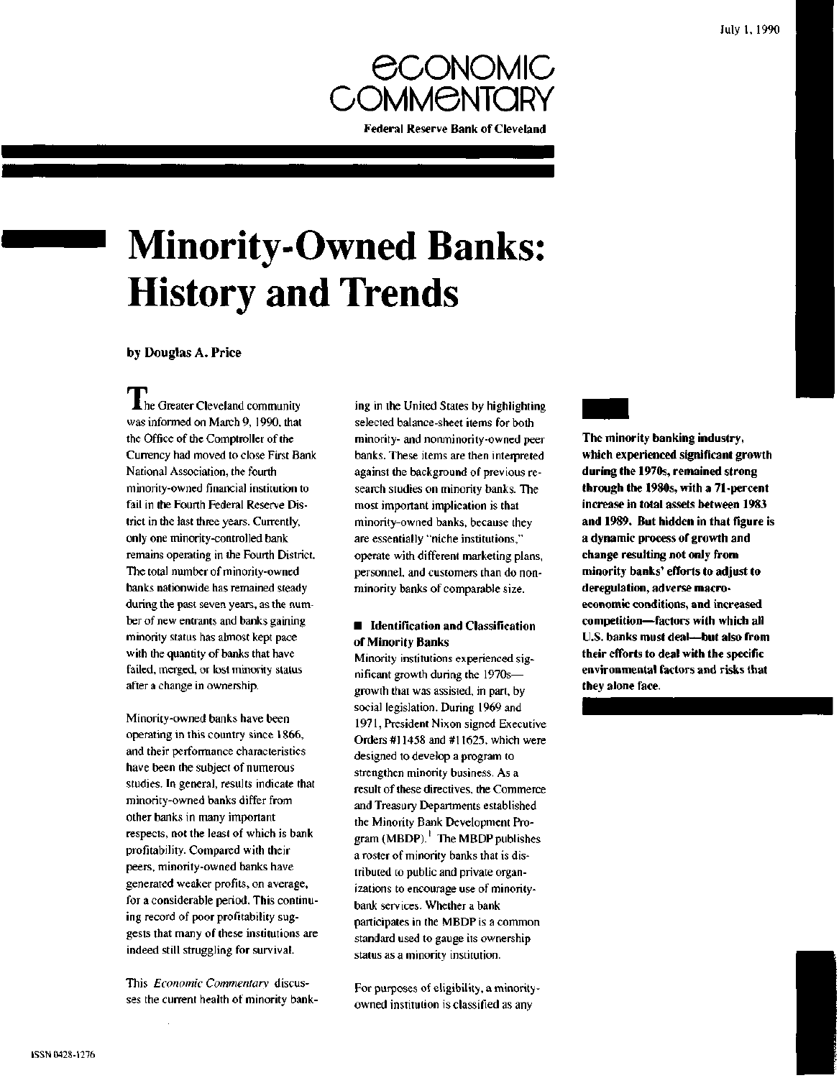

# **Minority-Owned Banks: History and Trends**

by Douglas A. Price

**I** he Greater Cleveland community was informed on March 9, 1990, that the Office of the Comptroller of the Currency had moved to close First Bank National Association, the fourth minority-owned financial institution to fail in the Fourth Federal Reserve District in the last three years. Currently, only one minority-controlled bank remains operating in the Fourth District. The total number of minority-owned banks nationwide has remained steady during the past seven years, as the number of new entrants and banks gaining minority status has almost kept pace with the quantity of banks that have failed, merged, or lost minority status after a change in ownership.

Minority-owned banks have been operating in this country since 1866, and their performance characteristics have been the subject of numerous studies. In general, results indicate that minority-owned banks differ from other banks in many important respects, not the least of which is bank profitability. Compared with their peers, minority-owned banks have generated weaker profits, on average, for a considerable period. This continuing record of poor profitability suggests that many of these institutions are indeed still struggling for survival.

This *Economic Commentary* discusses the current health of minority bank-

ing in the United States by highlighting selected balance-sheet items for both minority- and nonminority-owned peer banks. These items are then interpreted against the background of previous research studies on minority banks. The most important implication is that minority-owned banks, because they are essentially "niche institutions," operate with different marketing plans, personnel, and customers than do nonminority banks of comparable size.

# **• Identification and Classification of Minority Banks**

Minority institutions experienced significant growth during the 1970s growth that was assisted, in part, by social legislation. During 1969 and 1971, President Nixon signed Executive Orders #11458 and #11625, which were designed to develop a program to strengthen minority business. As a result of these directives, the Commerce and Treasury Departments established the Minority Bank Development Program (MBDP).' The MBDP publishes a roster of minority banks that is distributed to public and private organizations to encourage use of minoritybank services. Whether a bank participates in the MBDP is a common standard used to gauge its ownership status as a minority institution.

For purposes of eligibility, a minorityowned institution is classified as any

**The minority banking industry, which experienced significant growth during the 1970s, remained strong through the 1980s, with a 71-percent increase in total assets between 1983 and 1989. But hidden in that figure is a dynamic process of growth and change resulting not only from minority banks' efforts to adjust to deregulation, adverse macroeconomic conditions, and increased competition—factors with which all U.S. banks must deal—but also from their efforts to deal with the specific environmental factors and risks that they alone face.**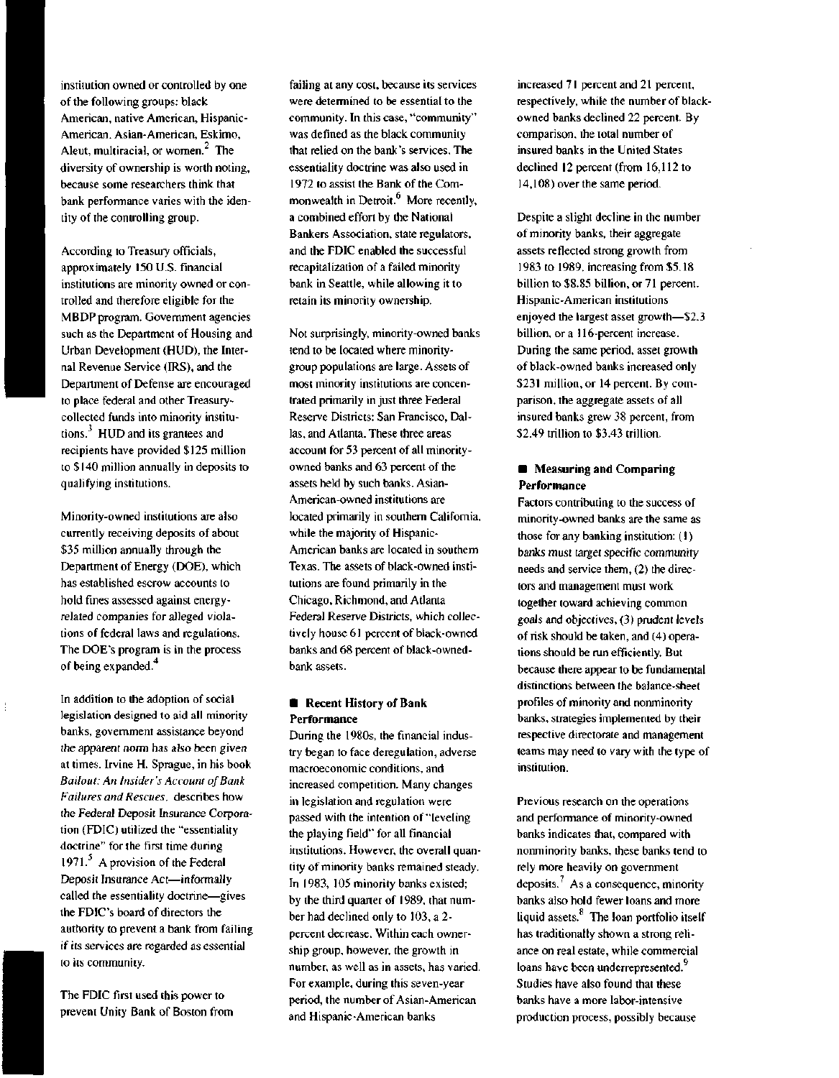institution owned or controlled by one of the following groups: black American, native American, Hispanic-American, Asian-American, Eskimo, Aleut, multiracial, or women. $<sup>2</sup>$  The</sup> diversity of ownership is worth noting, because some researchers think that bank performance varies with the identity of the controlling group.

According to Treasury officials, approximately 150 U.S. financial institutions are minority owned or controlled and therefore eligible for the MBDP program. Government agencies such as the Department of Housing and Urban Development (HUD), the Internal Revenue Service (IRS), and the Department of Defense are encouraged to place federal and other Treasurycollected funds into minority institutions. $<sup>3</sup>$  HUD and its grantees and</sup> recipients have provided \$125 million to \$140 million annually in deposits to qualifying institutions.

Minority-owned institutions are also currently receiving deposits of about \$35 million annually through the Department of Energy (DOE), which has established escrow accounts to hold fines assessed against energyrelated companies for alleged violations of federal laws and regulations. The DOE's program is in the process of being expanded.

 $\vdots$ 

In addition to the adoption of social legislation designed to aid all minority banks, government assistance beyond the apparent norm has also been given at times. Irvine H. Sprague, in his book *Bailout: An Insider's Account of Bank Failures and Rescues,* describes how the Federal Deposit Insurance Corporation (FDIC) utilized the "essentiality doctrine" for the first time during  $1971<sup>5</sup>$  A provision of the Federal Deposit Insurance Act—informally called the essentiality doctrine—gives the FDIC's board of directors the authority to prevent a bank from failing if its services are regarded as essential to its community.

The FDIC first used this power to prevent Unity Bank of Boston from failing at any cost, because its services were determined to be essential to the community. In this case, "community" was defined as the black community that relied on the bank's services. The essentiality doctrine was also used in 1972 to assist the Bank of the Commonwealth in Detroit.<sup>6</sup> More recently, a combined effort by the National Bankers Association, state regulators, and the FDIC enabled the successful recapitalization of a failed minority bank in Seattle, while allowing it to retain its minority ownership.

Not surprisingly, minority-owned banks tend to be located where minoritygroup populations are large. Assets of most minority institutions are concentrated primarily in just three Federal Reserve Districts: San Francisco, Dallas, and Atlanta. These three areas account for 53 percent of all minorityowned banks and 63 percent of the assets held by such banks. Asian-American-owned institutions are located primarily in southern California, while the majority of Hispanic-American banks are located in southern Texas. The assets of black-owned institutions are found primarily in the Chicago, Richmond, and Atlanta Federal Reserve Districts, which collectively house 61 percent of black-owned banks and 68 percent of black-ownedbank assets.

## **• Recent History of Bank Performance**

During the 1980s, the financial industry began to face deregulation, adverse macroeconomic conditions, and increased competition. Many changes in legislation and regulation were passed with the intention of "leveling the playing field" for all financial institutions. However, the overall quantity of minority banks remained steady. In 1983, 105 minority banks existed; by the third quarter of 1989, that number had declined only to 103, a 2 percent decrease. Within each ownership group, however, the growth in number, as well as in assets, has varied. For example, during this seven-year period, the number of Asian-American and Hispanic-American banks

increased 71 percent and 21 percent, respectively, while the number of blackowned banks declined 22 percent. By comparison, the total number of insured banks in the United States declined 12 percent (from 16,112 to 14,108) over the same period.

Despite a slight decline in the number of minority banks, their aggregate assets reflected strong growth from 1983 to 1989, increasing from \$5.18 billion to \$8.85 billion, or 71 percent. Hispanic-American institutions enjoyed the largest asset growth—\$2.3 billion, or a 116-percent increase. During the same period, asset growth of black-owned banks increased only \$231 million, or 14 percent. By comparison, the aggregate assets of all insured banks grew 38 percent, from \$2.49 trillion to \$3.43 trillion.

# **• Measuring and Comparing Performance**

Factors contributing to the success of minority-owned banks are the same as those for any banking institution: (1) banks must target specific community needs and service them, (2) the directors and management must work together toward achieving common goals and objectives, (3) prudent levels of risk should be taken, and (4) operations should be run efficiently. But because there appear to be fundamental distinctions between the balance-sheet profiles of minority and nonminority banks, strategies implemented by their respective directorate and management teams may need to vary with the type of institution.

Previous research on the operations and performance of minority-owned banks indicates that, compared with nonminority banks, these banks tend to rely more heavily on government deposits.<sup>7</sup> As a consequence, minority banks also hold fewer loans and more liquid assets.<sup>8</sup> The loan portfolio itself has traditionally shown a strong reliance on real estate, while commercial loans have been underrepresented.<sup>9</sup> Studies have also found that these banks have a more labor-intensive production process, possibly because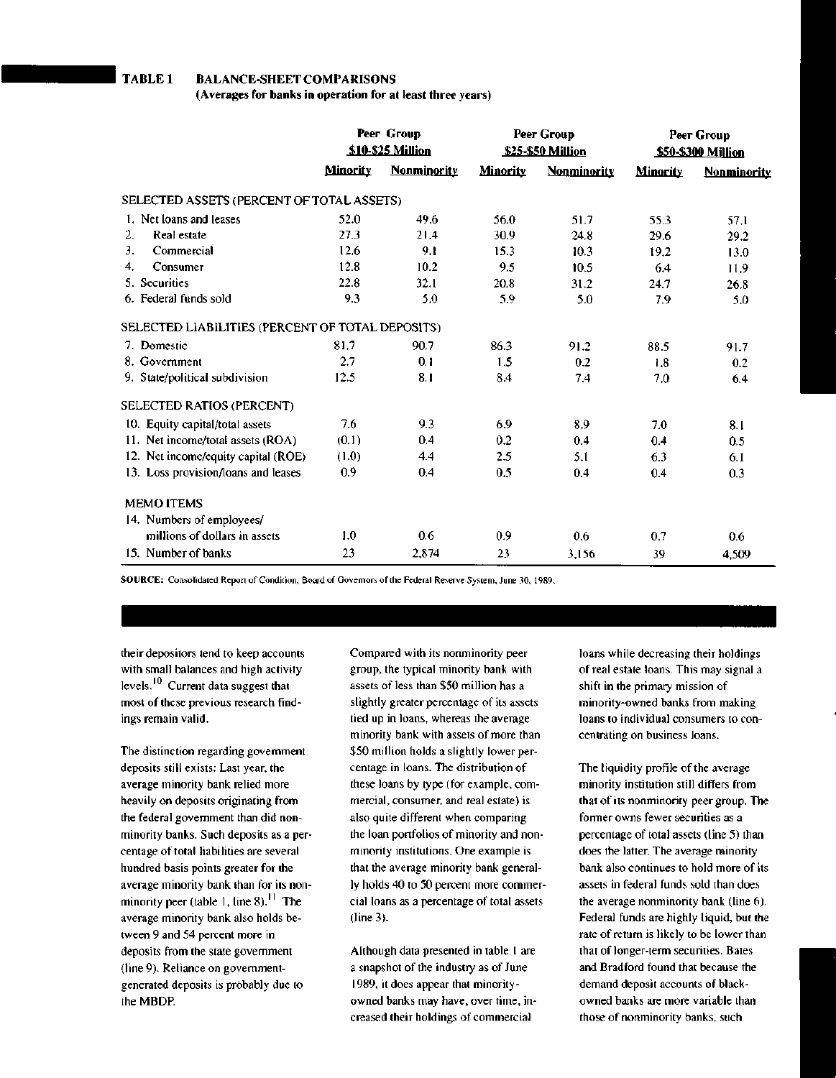# **TABLE 1 BALANCE-SHEET COMPARISONS (Averages for banks in operation for at least three years)**

|                                                  | Peer Group<br><b>\$10-\$25 Million</b> |                    | Peer Group<br>\$25-\$50 Million |             | Peer Group<br>\$50-\$300 Million |             |
|--------------------------------------------------|----------------------------------------|--------------------|---------------------------------|-------------|----------------------------------|-------------|
|                                                  | <b>Minority</b>                        | <b>Nonminority</b> | <b>Minority</b>                 | Nonminority | <b>Minority</b>                  | Nonminority |
| SELECTED ASSETS (PERCENT OF TOTAL ASSETS)        |                                        |                    |                                 |             |                                  |             |
| 1. Net loans and leases                          | 52.0                                   | 49.6               | 56.0                            | 51.7        | 55.3                             | 57.1        |
| $\overline{2}$ .<br>Real estate                  | 27.3                                   | 21.4               | 30.9                            | 24.8        | 29.6                             | 29.2        |
| 3.<br>Commercial                                 | 12.6                                   | 9.1                | 15.3                            | 10.3        | 19.2                             | 13.0        |
| Consumer<br>4.                                   | 12.8                                   | 10.2               | 9.5                             | 10.5        | 6.4                              | 11.9        |
| 5. Securities                                    | 22.8                                   | 32.1               | 20.8                            | 31.2        | 24.7                             | 26.8        |
| 6. Federal funds sold                            | 9.3                                    | 5.0                | 5.9                             | 5.0         | 7.9                              | 5.0         |
| SELECTED LIABILITIES (PERCENT OF TOTAL DEPOSITS) |                                        |                    |                                 |             |                                  |             |
| 7. Domestic                                      | 81.7                                   | 90.7               | 86.3                            | 91.2        | 88.5                             | 91.7        |
| 8. Government                                    | 2.7                                    | 0.1                | 1.5                             | 0.2         | 1.8                              | 0.2         |
| 9. State/political subdivision                   | 12.5                                   | 8.1                | 8.4                             | 7.4         | 7.0                              | 6.4         |
| SELECTED RATIOS (PERCENT)                        |                                        |                    |                                 |             |                                  |             |
| 10. Equity capital/total assets                  | 7.6                                    | 9.3                | 6.9                             | 8.9         | 7.0                              | 8.1         |
| 11. Net income/total assets (ROA)                | (0.1)                                  | 0.4                | 0.2                             | 0.4         | 0.4                              | 0.5         |
| 12. Net income/equity capital (ROE)              | (1.0)                                  | 4.4                | 2.5                             | 5.1         | 6.3                              | 6.1         |
| 13. Loss provision/loans and leases              | 0.9                                    | 0.4                | 0.5                             | 0.4         | 0.4                              | 0.3         |
| <b>MEMO ITEMS</b>                                |                                        |                    |                                 |             |                                  |             |
| 14. Numbers of employees/                        |                                        |                    |                                 |             |                                  |             |
| millions of dollars in assets                    | 1.0                                    | 0.6                | 0.9                             | 0.6         | 0.7                              | 0.6         |
| 15. Number of banks                              | 23                                     | 2,874              | 23                              | 3.156       | 39                               | 4.509       |

**SOURCE:** Consolidated Report of Condition, Board of Governors of the Federal Reserve System, June 30, 1989.

their depositors tend to keep accounts with small balances and high activity levels. $10$  Current data suggest that most of these previous research findings remain valid.

The distinction regarding government deposits still exists: Last year, the average minority bank relied more heavily on deposits originating from the federal government than did nonminority banks. Such deposits as a percentage of total liabilities are several hundred basis points greater for the average minority bank than for its nonminority peer (table 1, line  $8$ ).<sup>11</sup> The average minority bank also holds between 9 and 54 percent more in deposits from the state government (line 9). Reliance on governmentgenerated deposits is probably due to the MBDP.

Compared with its nonminority peer group, the typical minority bank with assets of less than \$50 million has a slightly greater percentage of its assets tied up in loans, whereas the average minority bank with assets of more than \$50 million holds a slightly lower percentage in loans. The distribution of these loans by type (for example, commercial, consumer, and real estate) is also quite different when comparing the loan portfolios of minority and nonminority institutions. One example is that the average minority bank generally holds 40 to 50 percent more commercial loans as a percentage of total assets (line 3).

Although data presented in table 1 are a snapshot of the industry as of June 1989, it does appear that minorityowned banks may have, over time, increased their holdings of commercial

loans while decreasing their holdings of real estate loans. This may signal a shift in the primary mission of minority-owned banks from making loans to individual consumers to concentrating on business loans.

The liquidity profile of the average minority institution still differs from that of its nonminority peer group. The former owns fewer securities as a percentage of total assets (line 5) than does the latter. The average minority bank also continues to hold more of its assets in federal funds sold than does the average nonminority bank (line 6). Federal funds are highly liquid, but the rate of return is likely to be lower than that of longer-term securities. Bates and Bradford found that because the demand deposit accounts of blackowned banks are more variable than those of nonminority banks, such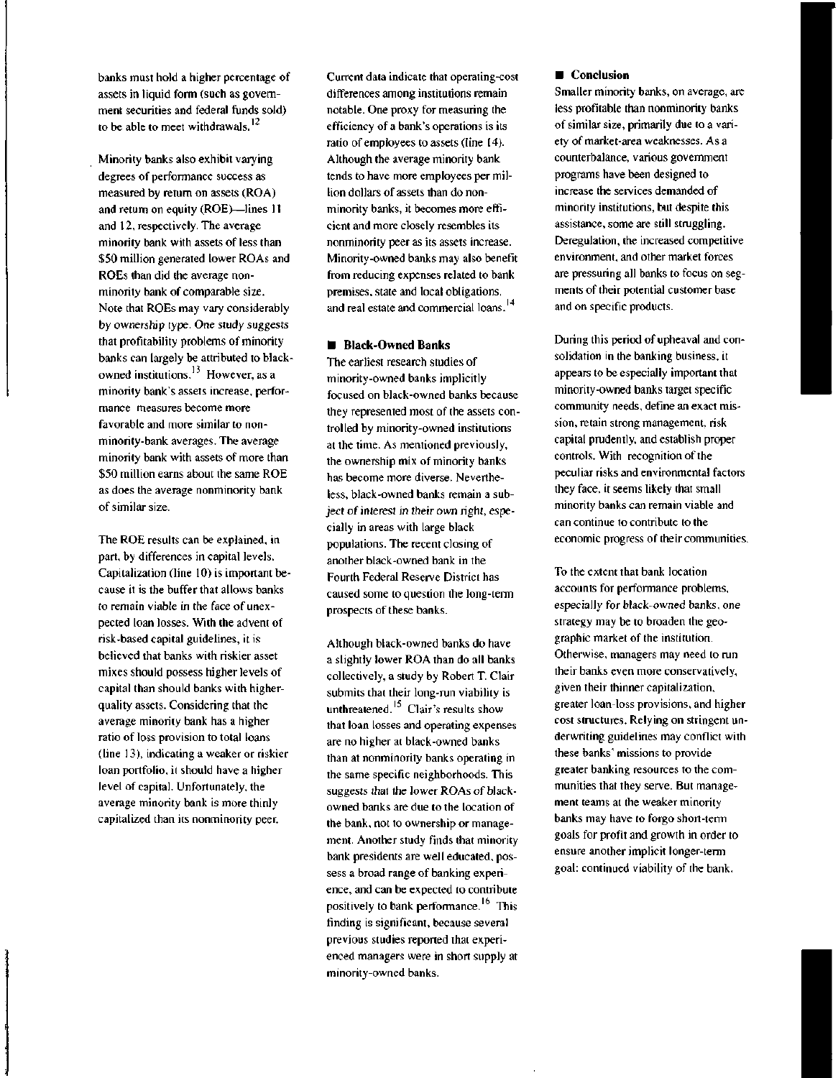banks must hold a higher percentage of assets in liquid form (such as government securities and federal funds sold) to be able to meet withdrawals. **12**

Minority banks also exhibit varying degrees of performance success as measured by return on assets (ROA) and return on equity (ROE)—lines 11 and 12, respectively. The average minority bank with assets of less than \$50 million generated lower ROAs and ROEs than did the average nonminority bank of comparable size. Note that ROEs may vary considerably by ownership type. One study suggests that profitability problems of minority banks can largely be attributed to blackowned institutions. $^{13}$  However, as a minority bank's assets increase, performance measures become more favorable and more similar to nonminority-bank averages. The average minority bank with assets of more than \$50 million earns about the same ROE as does the average nonminority bank of similar size.

The ROE results can be explained, in part, by differences in capital levels. Capitalization (line 10) is important because it is the buffer that allows banks to remain viable in the face of unexpected loan losses. With the advent of risk-based capital guidelines, it is believed that banks with riskier asset mixes should possess higher levels of capital than should banks with higherquality assets. Considering that the average minority bank has a higher ratio of loss provision to total loans (line 13), indicating a weaker or riskier loan portfolio, it should have a higher level of capital. Unfortunately, the average minority bank is more thinly capitalized than its nonminority peer.

Current data indicate that operating-cost differences among institutions remain notable. One proxy for measuring the efficiency of a bank's operations is its ratio of employees to assets (line 14). Although the average minority bank tends to have more employees per million dollars of assets than do nonminority banks, it becomes more efficient and more closely resembles its nonminority peer as its assets increase. Minority-owned banks may also benefit from reducing expenses related to bank premises, state and local obligations, and real estate and commercial loans.<sup>14</sup>

## **• Black-Owned Banks**

The earliest research studies of minority-owned banks implicitly focused on black-owned banks because they represented most of the assets controlled by minority-owned institutions at the time. As mentioned previously, the ownership mix of minority banks has become more diverse. Nevertheless, black-owned banks remain a subject of interest in their own right, especially in areas with large black populations. The recent closing of another black-owned bank in the Fourth Federal Reserve District has caused some to question the long-term prospects of these banks.

Although black-owned banks do have a slightly lower ROA than do all banks collectively, a study by Robert T. Clair submits that their long-run viability is unthreatened.<sup>15</sup> Clair's results show that loan losses and operating expenses are no higher at black-owned banks than at nonminority banks operating in the same specific neighborhoods. This suggests that the lower ROAs of blackowned banks are due to the location of the bank, not to ownership or management. Another study finds that minority bank presidents are well educated, possess a broad range of banking experience, and can be expected to contribute positively to bank performance.<sup>16</sup> This finding is significant, because several previous studies reported that experienced managers were in short supply at minority-owned banks.

#### **• Conclusion**

Smaller minority banks, on average, are less profitable than nonminority banks of similar size, primarily due to a variety of market-area weaknesses. As a counterbalance, various government programs have been designed to increase the services demanded of minority institutions, but despite this assistance, some are still struggling. Deregulation, the increased competitive environment, and other market forces are pressuring all banks to focus on segments of their potential customer base and on specific products.

During this period of upheaval and consolidation in the banking business, it appears to be especially important that minority-owned banks target specific community needs, define an exact mission, retain strong management, risk capital prudently, and establish proper controls. With recognition of the peculiar risks and environmental factors they face, it seems likely that small minority banks can remain viable and can continue to contribute to the economic progress of their communities.

To the extent that bank location accounts for performance problems, especially for black-owned banks, one strategy may be to broaden the geographic market of the institution. Otherwise, managers may need to run their banks even more conservatively, given their thinner capitalization, greater loan-loss provisions, and higher cost structures. Relying on stringent underwriting guidelines may conflict with these banks' missions to provide greater banking resources to the communities that they serve. But management teams at the weaker minority banks may have to forgo short-term goals for profit and growth in order to ensure another implicit longer-term goal: continued viability of the bank.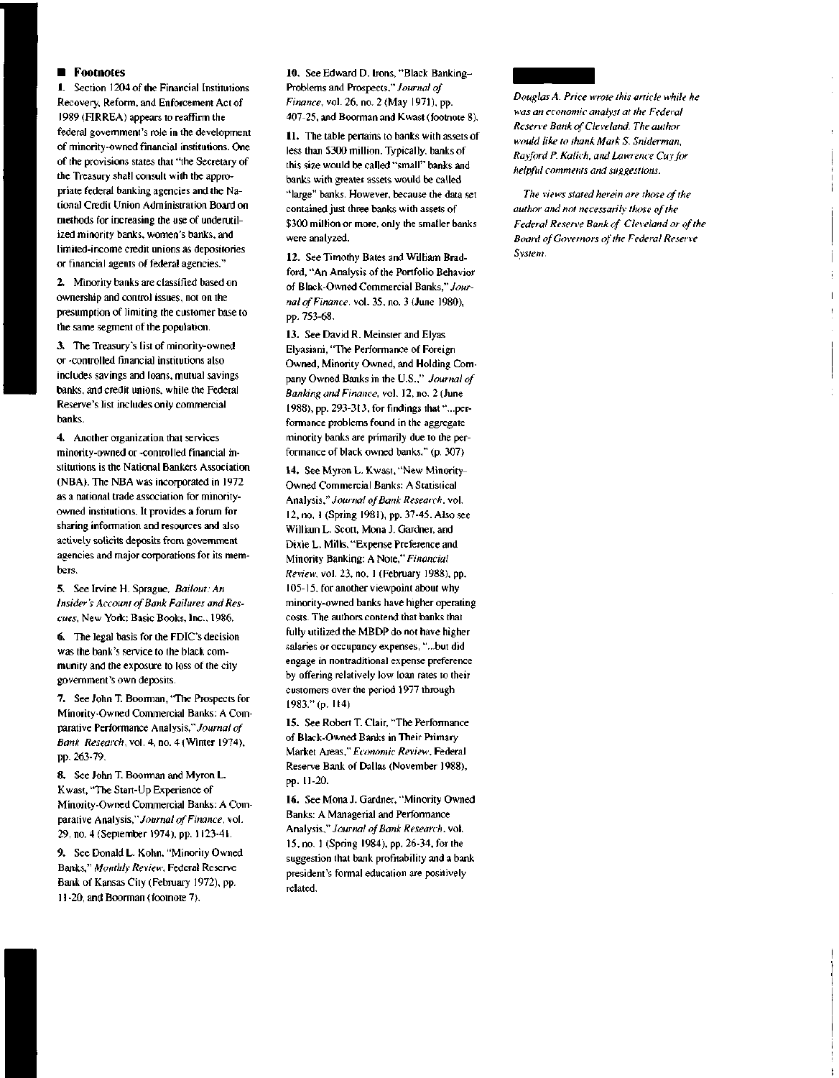#### **Footnotes**

1. Section 1204 of the Financial Institutions Recovery, Reform, and Enforcement Act of 1989 (FIRREA) appears to reaffirm the federal government's role in the development of minority-owned financial institutions. One of the provisions states that "the Secretary of the Treasury shall consult with the appropriate federal banking agencies and the National Credit Union Administration Board on methods for increasing the use of underutilized minority banks, women's banks, and limited-income credit unions as depositories or financial agents of federal agencies."

2. Minority banks are classified based on ownership and control issues, not on the presumption of limiting the customer base to the same segment of the population.

3. The Treasury's list of minority-owned or -controlled financial institutions also includes savings and loans, mutual savings banks, and credit unions, while the Federal Reserve's list includes only commercial banks.

4. Another organization that services minority-owned or -controlled financial institutions is the National Bankers Association (NBA). The NBA was incorporated in 1972 as a national trade association for minorityowned institutions. It provides a forum for sharing information and resources and also actively solicits deposits from government agencies and major corporations for its members.

5. See Irvine H. Sprague, *Bailout: An Insider's Account of Bank Failures and Rescues,* New York: Basic Books, Inc., 1986.

6. The legal basis for the FDIC's decision was the bank's service to the black community and the exposure to loss of the city government's own deposits.

7. See John T. Boorman, "The Prospects for Minority-Owned Commercial Banks: A Comparative Performance Analysis," *Journal of Bank Research,* vol. 4, no. 4 (Winter 1974), pp. 263-79.

8. See John T. Boorman and Myron L. Kwast, "The Start-Up Experience of Minority-Owned Commercial Banks: A Comparative Analysis," *Journal of Finance,* vol. 29, no. 4 (September 1974), pp. 1123-41.

9. See Donald L. Kohn, "Minority Owned Banks," *Monthly Review,* Federal Reserve Bank of Kansas City (February 1972), pp. 11 -20, and Boorman (footnote 7).

10. See Edward D. Irons, "Black Banking-Problems and Prospects," *Journal of Finance,* vol. 26, no. 2 (May 1971), pp. 407-25, and Boorman and Kwast (footnote 8).

11. The table pertains to banks with assets of less than \$300 million. Typically, banks of this size would be called "small" banks and banks with greater assets would be called "large" banks. However, because the data set contained just three banks with assets of \$300 million or more, only the smaller banks were analyzed.

12. See Timothy Bates and William Bradford, "An Analysis of the Portfolio Behavior of Black-Owned Commercial Banks," *Journal of Finance,* vol. 35, no. 3 (June 1980), pp. 753-68.

13. See David R. Meinster and Elyas Elyasiani, "The Performance of Foreign Owned, Minority Owned, and Holding Company Owned Banks in the U.S.," *Journal of Banking and Finance,* vol. 12, no. 2 (June 1988), pp. 293-313, for findings that "...performance problems found in the aggregate minority banks are primarily due to the performance of black owned banks." (p. 307)

14. See Myron L. Kwast, "New Minority-Owned Commercial Banks: A Statistical Analysis," *Journal of Bank Research,* vol. 12, no. 1 (Spring 1981), pp. 37-45. Also see William L. Scott, Mona J. Gardner, and Dixie L. Mills, "Expense Preference and Minority Banking: A Note," *Financial Review,* vol. 23, no. 1 (February 1988), pp. 105-15, for another viewpoint about why minority-owned banks have higher operating costs. The authors contend that banks that fully utilized the MBDP do not have higher salaries or occupancy expenses, "...but did engage in nontraditional expense preference by offering relatively low loan rates to their customers over the period 1977 through 1983." (p. 114)

15. See Robert T. Clair, "The Performance of Black-Owned Banks in Their Primary Market Areas," *Economic Review,* Federal Reserve Bank of Dallas (November 1988), pp. 11-20.

16. See Mona J. Gardner, "Minority Owned Banks: A Managerial and Performance Analysis," *Journal of Bank Research,* vol. 15, no. 1 (Spring 1984), pp. 26-34, for the suggestion that bank profitability and a bank president's formal education are positively related.

*Douglas A. Price wrote this article while he was an economic analyst at the Federal Resene Bank of Cleveland. The author would like to thank Mark S. Sniderman, Ray ford P. Kalich, and Lawrence Cuyfor helpful comments and suggestions.*

*The views stated herein are those of the author and not necessarily those of the Federal Reserve Bank of Cleveland or of the Board of Governors of the Federal Reserve System.*